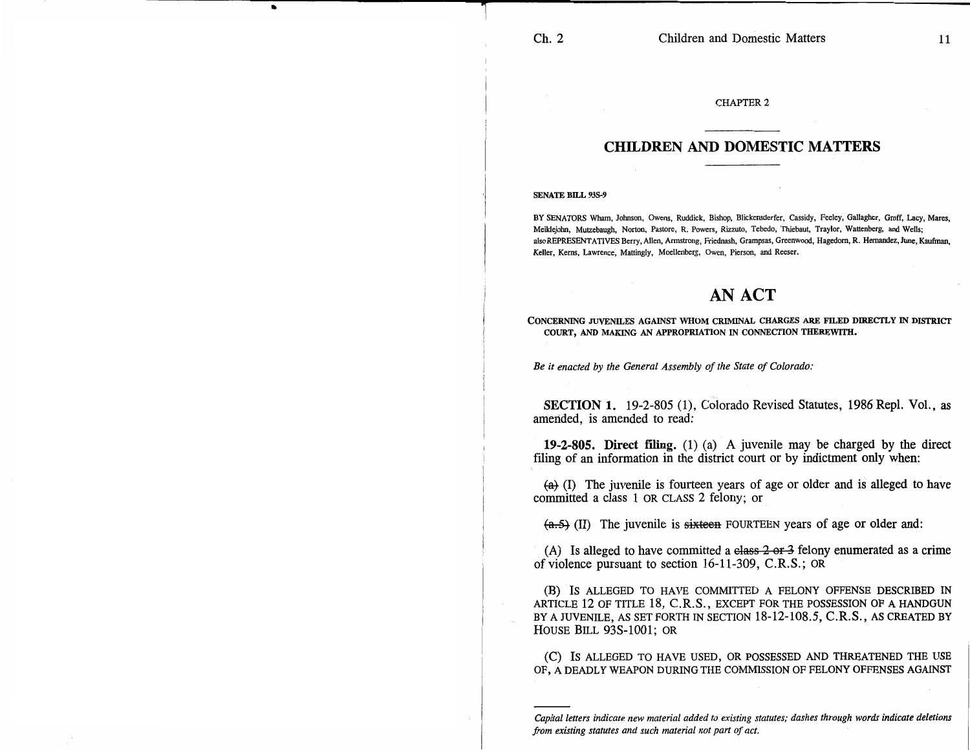## CHAPTER 2

## **CHILDREN AND DOMESTIC MATTERS**

## SENATE BILL 93S-9

BY SENATORS Wham, Johnson, Owens, Ruddick, Bishop, Blickensderfer, Cassidy, Feeley, Gallagher, Groff, Lacy, Mares, Meiklejohn, Mutzebaugh, Norton, Pastore, R. Powers, Rizzuto, Tebedo, Thiebaut, Traylor, Wattenberg, and Wells; also REPRESENTATIVES Berry, Allen, Armstrong, Friednash, Grampsas, Greenwood, Hagedom, R. Hernandez, June, Kaufman, Keller, Kerns, Lawrence, Mattingly, Moellenberg, Owen, Pierson, and Reeser.

## **AN ACT**

**CONCERNING JUVENILES AGAINST WHOM CRIMINAL CHARGES ARE FILED DIRECTLY IN DISTRICT COURT, AND MAKING AN APPROPRIATION IN CONNECTION THEREWITH.** 

*Be it enacted by the General Assembly of the State of Colorado:* 

**SECTION 1.** 19-2-805 (1), Colorado Revised Statutes, 1986 Repl. Vol., as amended, is amended to read:

**19-2-805. Direct filing.** (1) (a) A juvenile may be charged by the direct filing of an information in the district court or by indictment only when:

 $\overline{(a)}$  (I) The juvenile is fourteen years of age or older and is alleged to have committed a class 1 OR CLASS 2 felony; or

 $(a.5)$  (II) The juvenile is sixteen FOURTEEN years of age or older and:

(A) Is alleged to have committed a class  $2 \text{ or } 3$  felony enumerated as a crime of violence pursuant to section 16-11-309, C.R.S.; OR

(B) IS ALLEGED TO HAVE COMMITTED A FELONY OFFENSE DESCRIBED IN ARTICLE 12 OF TITLE 18, C.R.S., EXCEPT FOR THE POSSESSION OF A HANDGUN BY A JUVENILE, AS SET FORTH IN SECTION 18-12-108.5, C.R.S., AS CREATED BY HOUSE BILL 93S-1001; OR

(C) IS ALLEGED TO HAVE USED, OR POSSESSED AND THREATENED THE USE OF, A DEADLY WEAPON DURING THE COMMISSION OF FELONY OFFENSES AGAINST

*Capital letters indicate new material added to existing statutes; dashes through words indicate deletions from existing statutes and such material not part of act.*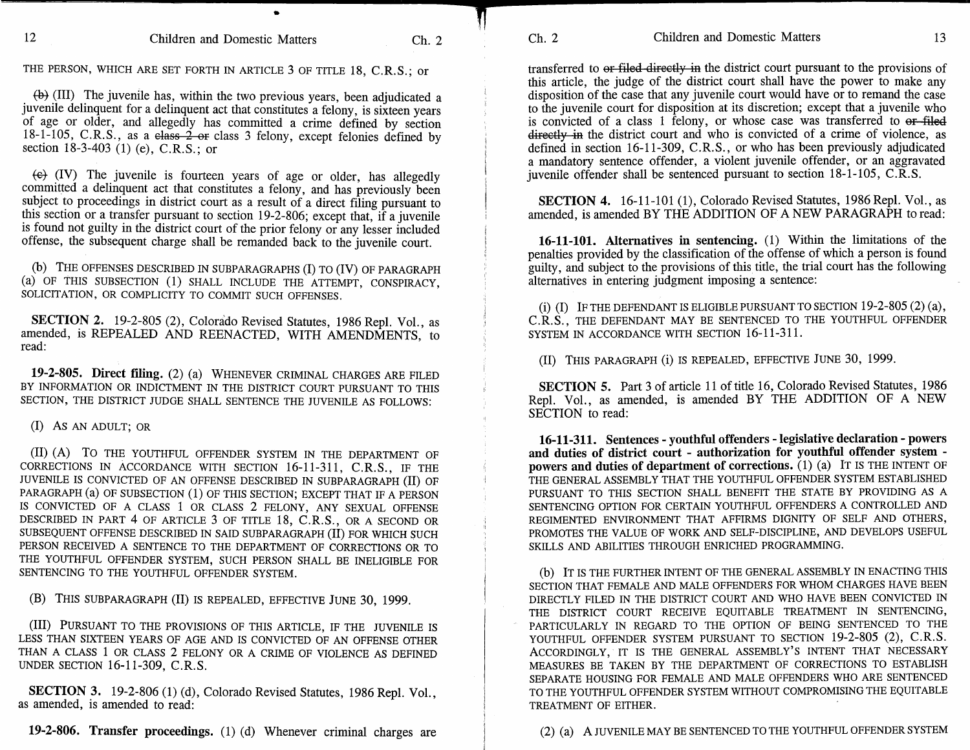THE PERSON, WHICH ARE SET FORTH IN ARTICLE 3 OF TITLE 18, C.R.S.; or

 $\langle \theta \rangle$  (III) The juvenile has, within the two previous years, been adjudicated a juvenile delinquent for a delinquent act that constitutes a felony, is sixteen years of age or older, and allegedly has committed a crime defined by section 18-1-105, C.R.S., as a class  $2$  or class 3 felony, except felonies defined by section 18-3-403 (1) (e), C.R.S.; or

 $\left(\leftrightarrow\right)$  (IV) The juvenile is fourteen years of age or older, has allegedly committed a delinquent act that constitutes a felony, and has previously been subject to proceedings in district court as a result of a direct filing pursuant to this section or a transfer pursuant to section 19-2-806; except that, if a juvenile is found not guilty in the district court of the prior felony or any lesser included offense, the subsequent charge shall be remanded back to the juvenile court.

(b) THE OFFENSES DESCRIBED IN SUBPARAGRAPHS **(I)** TO (IV) OF PARAGRAPH (a) OF THIS SUBSECTION (1) SHALL INCLUDE THE ATTEMPT, CONSPIRACY, SOLICITATION, OR COMPLICITY TO COMMIT SUCH OFFENSES.

**SECTION 2.** 19-2-805 (2), Colorado Revised Statutes, 1986 Repl. Vol., as amended, is REPEALED AND REENACTED, WITH AMENDMENTS, to read:

**19-2-805. Direct filing.** (2) (a) WHENEVER CRIMINAL CHARGES ARE FILED BY INFORMATION OR INDICTMENT IN THE DISTRICT COURT PURSUANT TO THIS SECTION, THE DISTRICT JUDGE SHALL SENTENCE THE JUVENILE AS FOLLOWS:

(I) AS AN ADULT; OR

(II) (A) To THE YOUTHFUL OFFENDER SYSTEM IN THE DEPARTMENT OF CORRECTIONS IN ACCORDANCE WITH SECTION 16-11-311, C.R.S., IF THE JUVENILE IS CONVICTED OF AN OFFENSE DESCRIBED IN SUBPARAGRAPH (II) OF PARAGRAPH (a) OF SUBSECTION (1) OF THIS SECTION; EXCEPT THAT IF A PERSON IS CONVICTED OF A CLASS 1 OR CLASS 2 FELONY, ANY SEXUAL OFFENSE DESCRIBED IN PART 4 OF ARTICLE 3 OF TITLE 18, C.R.S., OR A SECOND OR SUBSEQUENT OFFENSE DESCRIBED IN SAID SUBPARAGRAPH (II) FOR WHICH SUCH PERSON RECEIVED A SENTENCE TO THE DEPARTMENT OF CORRECTIONS OR TO THE YOUTHFUL OFFENDER SYSTEM, SUCH PERSON SHALL BE INELIGIBLE FOR SENTENCING TO THE YOUTHFUL OFFENDER SYSTEM.

**(B)** THIS SUBPARAGRAPH (II) IS REPEALED, EFFECTIVE JUNE 30, 1999.

(III) PURSUANT TO THE PROVISIONS OF THIS ARTICLE, IF THE JUVENILE IS LESS THAN SIXTEEN YEARS OF AGE AND IS CONVICTED OF AN OFFENSE OTHER THAN A CLASS 1 OR CLASS 2 FELONY OR A CRIME OF VIOLENCE AS DEFINED UNDER SECTION 16-11-309, C.R.S.

**SECTION 3.** 19-2-806 (1) (d), Colorado Revised Statutes, 1986 **Repl.** Vol., as amended, is amended to read:

**19-2-806. Transfer proceedings.** (1) (d) Whenever criminal charges are

transferred to or filed directly in the district court pursuant to the provisions of this article, the judge of the district court shall have the power to make any disposition of the case that any juvenile court would have or to remand the case to the juvenile court for disposition at its discretion; except that a juvenile who is convicted of a class 1 felony, or whose case was transferred to or filed directly in the district court and who is convicted of a crime of violence, as defined in section 16-11-309, C.R.S., or who has been previously adjudicated

**SECTION 4.** 16-11-101 (1), Colorado Revised Statutes, 1986 Repl. Vol., as amended, is amended BY THE ADDITION OF A NEW PARAGRAPH to read:

a mandatory sentence offender, a violent juvenile offender, or an aggravated juvenile offender shall be sentenced pursuant to section 18-1-105, C.R.S.

**16-11-101. Alternatives in sentencing.** (1) Within the limitations of the penalties provided by the classification of the offense of which a person is found guilty, and subject to the provisions of this title, the trial court has the following alternatives in entering judgment imposing a sentence:

(i) **(I)** IF THE DEFENDANT IS ELIGIBLE PURSUANT TO SECTION 19-2-805 (2) (a), C.R.S., THE DEFENDANT MAY BE SENTENCED TO THE YOUTHFUL OFFENDER SYSTEM IN ACCORDANCE WITH SECTION 16-11-311.

(II) THIS PARAGRAPH (i) IS REPEALED, EFFECTIVE JUNE 30, 1999.

**SECTION** 5. Part 3 of article 11 of title 16, Colorado Revised Statutes, 1986 Repl. Vol., as amended, is amended BY THE ADDITION OF A NEW SECTION to read:

**16-11-311. Sentences - youthful offenders - legislative declaration - powers and duties of district court - authorization for youthful offender system powers and duties of department of corrections.** (1) (a) IT IS THE INTENT OF THE GENERAL ASSEMBLY THAT THE YOUTHFUL OFFENDER SYSTEM ESTABLISHED PURSUANT TO THIS SECTION SHALL BENEFIT THE STATE BY PROVIDING AS A SENTENCING OPTION FOR CERTAIN YOUTHFUL OFFENDERS A CONTROLLED AND REGIMENTED ENVIRONMENT THAT AFFIRMS DIGNITY OF SELF AND OTHERS, PROMOTES THE VALUE OF WORK AND SELF-DISCIPLINE, AND DEVELOPS USEFUL SKILLS AND ABILITIES THROUGH ENRICHED PROGRAMMING.

(b) IT IS THE FURTHER INTENT OF THE GENERAL ASSEMBLY IN ENACTING THIS SECTION THAT FEMALE AND MALE OFFENDERS FOR WHOM CHARGES HAVE BEEN DIRECTLY FILED IN THE DISTRICT COURT AND WHO HAVE BEEN CONVICTED IN THE DISTRICT COURT RECEIVE EQUITABLE TREATMENT IN SENTENCING, PARTICULARLY IN REGARD TO THE OPTION OF BEING SENTENCED TO THE YOUTHFUL OFFENDER SYSTEM PURSUANT TO SECTION 19-2-805 (2), C.R.S. ACCORDINGLY, IT IS THE GENERAL ASSEMBLY'S INTENT THAT NECESSARY MEASURES BE TAKEN BY THE DEPARTMENT OF CORRECTIONS TO ESTABLISH SEPARATE HOUSING FOR FEMALE AND MALE OFFENDERS WHO ARE SENTENCED TO THE YOUTHFUL OFFENDER SYSTEM WITHOUT COMPROMISING THE EQUITABLE TREATMENT OF EITHER.

Ch. 2 Children and Domestic Matters 13

(2) (a) A JUVENILE MAY BE SENTENCED TO THE YOUTHFUL OFFENDER SYSTEM